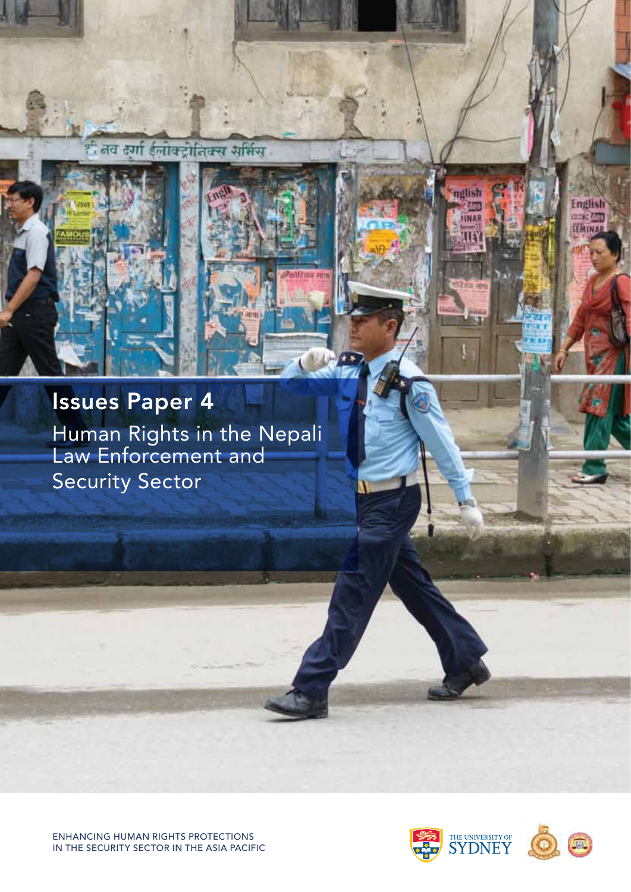ितव त्या ईलोक्ट्रोतिक्स समिस

# Issues Paper 4

Human Rights in the Nepali Law Enforcement and Security Sector



nglish

Z. INA English

SEMINAR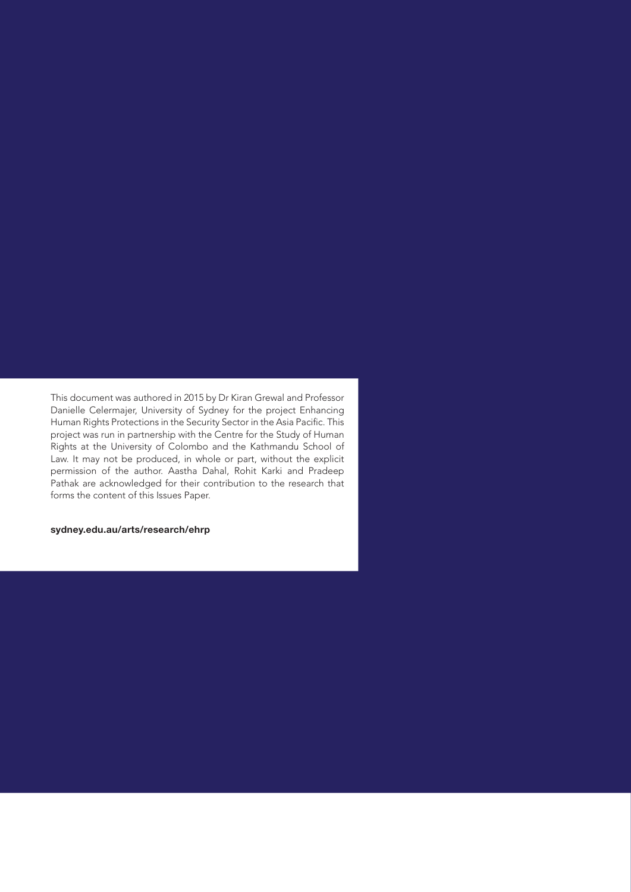This document was authored in 2015 by Dr Kiran Grewal and Professor Danielle Celermajer, University of Sydney for the project Enhancing Human Rights Protections in the Security Sector in the Asia Pacific. This project was run in partnership with the Centre for the Study of Human Rights at the University of Colombo and the Kathmandu School of Law. It may not be produced, in whole or part, without the explicit permission of the author. Aastha Dahal, Rohit Karki and Pradeep Pathak are acknowledged for their contribution to the research that forms the content of this Issues Paper.

#### sydney.edu.au/arts/research/ehrp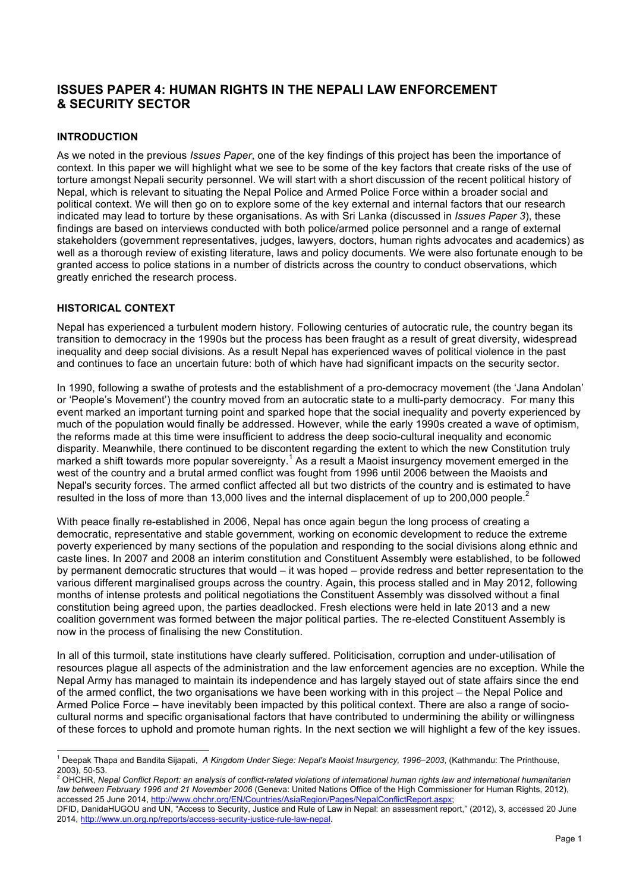## **ISSUES PAPER 4: HUMAN RIGHTS IN THE NEPALI LAW ENFORCEMENT & SECURITY SECTOR**

## **INTRODUCTION**

As we noted in the previous *Issues Paper*, one of the key findings of this project has been the importance of context. In this paper we will highlight what we see to be some of the key factors that create risks of the use of torture amongst Nepali security personnel. We will start with a short discussion of the recent political history of Nepal, which is relevant to situating the Nepal Police and Armed Police Force within a broader social and political context. We will then go on to explore some of the key external and internal factors that our research indicated may lead to torture by these organisations. As with Sri Lanka (discussed in *Issues Paper 3*), these findings are based on interviews conducted with both police/armed police personnel and a range of external stakeholders (government representatives, judges, lawyers, doctors, human rights advocates and academics) as well as a thorough review of existing literature, laws and policy documents. We were also fortunate enough to be granted access to police stations in a number of districts across the country to conduct observations, which greatly enriched the research process.

### **HISTORICAL CONTEXT**

Nepal has experienced a turbulent modern history. Following centuries of autocratic rule, the country began its transition to democracy in the 1990s but the process has been fraught as a result of great diversity, widespread inequality and deep social divisions. As a result Nepal has experienced waves of political violence in the past and continues to face an uncertain future: both of which have had significant impacts on the security sector.

In 1990, following a swathe of protests and the establishment of a pro-democracy movement (the 'Jana Andolan' or 'People's Movement') the country moved from an autocratic state to a multi-party democracy. For many this event marked an important turning point and sparked hope that the social inequality and poverty experienced by much of the population would finally be addressed. However, while the early 1990s created a wave of optimism, the reforms made at this time were insufficient to address the deep socio-cultural inequality and economic disparity. Meanwhile, there continued to be discontent regarding the extent to which the new Constitution truly marked a shift towards more popular sovereignty.<sup>1</sup> As a result a Maoist insurgency movement emerged in the west of the country and a brutal armed conflict was fought from 1996 until 2006 between the Maoists and Nepal's security forces. The armed conflict affected all but two districts of the country and is estimated to have resulted in the loss of more than 13,000 lives and the internal displacement of up to 200,000 people.<sup>2</sup>

With peace finally re-established in 2006, Nepal has once again begun the long process of creating a democratic, representative and stable government, working on economic development to reduce the extreme poverty experienced by many sections of the population and responding to the social divisions along ethnic and caste lines. In 2007 and 2008 an interim constitution and Constituent Assembly were established, to be followed by permanent democratic structures that would – it was hoped – provide redress and better representation to the various different marginalised groups across the country. Again, this process stalled and in May 2012, following months of intense protests and political negotiations the Constituent Assembly was dissolved without a final constitution being agreed upon, the parties deadlocked. Fresh elections were held in late 2013 and a new coalition government was formed between the major political parties. The re-elected Constituent Assembly is now in the process of finalising the new Constitution.

In all of this turmoil, state institutions have clearly suffered. Politicisation, corruption and under-utilisation of resources plague all aspects of the administration and the law enforcement agencies are no exception. While the Nepal Army has managed to maintain its independence and has largely stayed out of state affairs since the end of the armed conflict, the two organisations we have been working with in this project – the Nepal Police and Armed Police Force – have inevitably been impacted by this political context. There are also a range of sociocultural norms and specific organisational factors that have contributed to undermining the ability or willingness of these forces to uphold and promote human rights. In the next section we will highlight a few of the key issues.

 <sup>1</sup> Deepak Thapa and Bandita Sijapati, *A Kingdom Under Siege: Nepal's Maoist Insurgency, 1996–2003*, (Kathmandu: The Printhouse,

<sup>2003), 50-53.</sup> <sup>2</sup> OHCHR, *Nepal Conflict Report: an analysis of conflict-related violations of international human rights law and international humanitarian law between February 1996 and 21 November 2006* (Geneva: United Nations Office of the High Commissioner for Human Rights, 2012), accessed 25 June 2014, http://www.ohchr.org/EN/Countries/AsiaRegion/Pages/NepalConflictReport.aspx;

DFID, DanidaHUGOU and UN, "Access to Security, Justice and Rule of Law in Nepal: an assessment report," (2012), 3, accessed 20 June 2014, http://www.un.org.np/reports/access-security-justice-rule-law-nepal.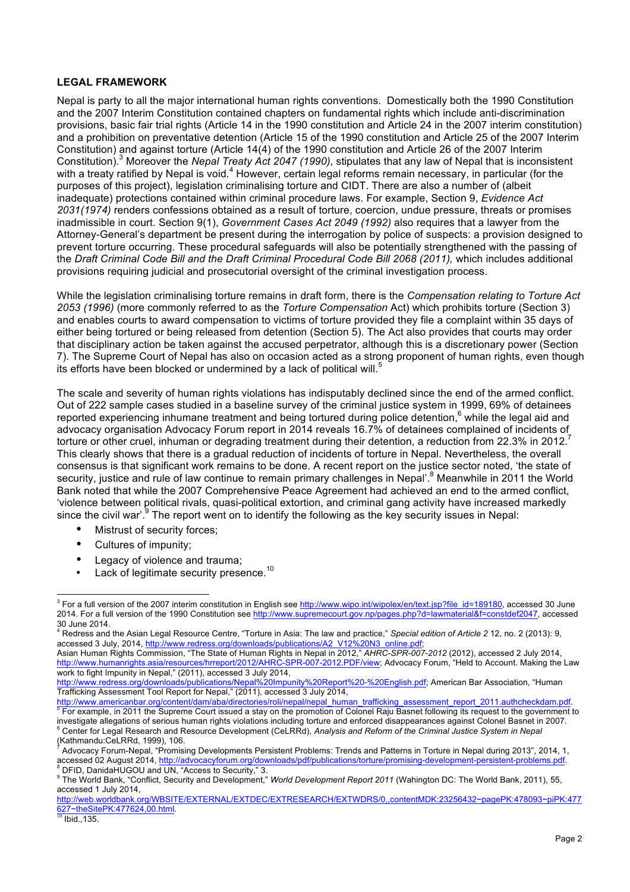### **LEGAL FRAMEWORK**

Nepal is party to all the major international human rights conventions. Domestically both the 1990 Constitution and the 2007 Interim Constitution contained chapters on fundamental rights which include anti-discrimination provisions, basic fair trial rights (Article 14 in the 1990 constitution and Article 24 in the 2007 interim constitution) and a prohibition on preventative detention (Article 15 of the 1990 constitution and Article 25 of the 2007 Interim Constitution) and against torture (Article 14(4) of the 1990 constitution and Article 26 of the 2007 Interim Constitution).3 Moreover the *Nepal Treaty Act 2047 (1990)*, stipulates that any law of Nepal that is inconsistent with a treaty ratified by Nepal is void.<sup>4</sup> However, certain legal reforms remain necessary, in particular (for the purposes of this project), legislation criminalising torture and CIDT. There are also a number of (albeit inadequate) protections contained within criminal procedure laws. For example, Section 9, *Evidence Act 2031(1974)* renders confessions obtained as a result of torture, coercion, undue pressure, threats or promises inadmissible in court. Section 9(1), *Government Cases Act 2049 (1992)* also requires that a lawyer from the Attorney-General's department be present during the interrogation by police of suspects: a provision designed to prevent torture occurring. These procedural safeguards will also be potentially strengthened with the passing of the *Draft Criminal Code Bill and the Draft Criminal Procedural Code Bill 2068 (2011)*, which includes additional provisions requiring judicial and prosecutorial oversight of the criminal investigation process.

While the legislation criminalising torture remains in draft form, there is the *Compensation relating to Torture Act 2053 (1996)* (more commonly referred to as the *Torture Compensation* Act) which prohibits torture (Section 3) and enables courts to award compensation to victims of torture provided they file a complaint within 35 days of either being tortured or being released from detention (Section 5). The Act also provides that courts may order that disciplinary action be taken against the accused perpetrator, although this is a discretionary power (Section 7). The Supreme Court of Nepal has also on occasion acted as a strong proponent of human rights, even though its efforts have been blocked or undermined by a lack of political will.

The scale and severity of human rights violations has indisputably declined since the end of the armed conflict. Out of 222 sample cases studied in a baseline survey of the criminal justice system in 1999, 69% of detainees reported experiencing inhumane treatment and being tortured during police detention,<sup>6</sup> while the legal aid and advocacy organisation Advocacy Forum report in 2014 reveals 16.7% of detainees complained of incidents of torture or other cruel, inhuman or degrading treatment during their detention, a reduction from 22.3% in 2012. This clearly shows that there is a gradual reduction of incidents of torture in Nepal. Nevertheless, the overall consensus is that significant work remains to be done. A recent report on the justice sector noted, 'the state of security, justice and rule of law continue to remain primary challenges in Nepal<sup>'.8</sup> Meanwhile in 2011 the World Bank noted that while the 2007 Comprehensive Peace Agreement had achieved an end to the armed conflict, 'violence between political rivals, quasi-political extortion, and criminal gang activity have increased markedly since the civil war'. $9$  The report went on to identify the following as the key security issues in Nepal:

- Mistrust of security forces;
- Cultures of impunity;
- Legacy of violence and trauma;
- Lack of legitimate security presence.<sup>10</sup>

<sup>&</sup>lt;sup>3</sup> For a full version of the 2007 interim constitution in English see http://www.wipo.int/wipolex/en/text.jsp?file\_id=189180, accessed 30 June 2014. For a full version of the 1990 Constitution see http://www.supremecourt.gov.np/pages.php?d=lawmaterial&f=constdef2047, accessed<br>30 June 2014.

<sup>30</sup> June 2014. 4 Redress and the Asian Legal Resource Centre, "Torture in Asia: The law and practice," *Special edition of Article 2* 12, no. 2 (2013): 9, accessed 3 July, 2014, http://www.redress.org/downloads/publications/A2\_V12%20N3\_online.pdf;

Asian Human Rights Commission, "The State of Human Rights in Nepal in 2012," *AHRC-SPR-007-2012* (2012), accessed 2 July 2014, http://www.humanrights.asia/resources/hrreport/2012/AHRC-SPR-007-2012.PDF/view; Advocacy Forum, "Held to Account. Making the Law work to fight Impunity in Nepal," (2011), accessed 3 July 2014,

http://www.redress.org/downloads/publications/Nepal%20Impunity%20Report%20-%20English.pdf; American Bar Association, "Human Trafficking Assessment Tool Report for Nepal," (2011), accessed 3 July 2014,

er the production of the paper of the second of the production of the production of the control of the change i<br>http://www.americanbar.org/content/dam/aba/directories/roli/nepal/nepal\_human\_trafficking\_assessment\_report\_2 investigate allegations of serious human rights violations including torture and enforced disappearances against Colonel Basnet in 2007.<br><sup>6</sup> Center for Legal Research and Resource Development (CeLRRd), Analysis and Reform

<sup>(</sup>Kathmandu:CeLRRd, 1999), 106.

Advocacy Forum-Nepal, "Promising Developments Persistent Problems: Trends and Patterns in Torture in Nepal during 2013", 2014, 1, accessed 02 August 2014, http://advocacyforum.org/downloads/pdf/publications/torture/promising-development-persistent-problems.pdf.<br><sup>8</sup> DFID, DanidaHUGOU and UN, "Access to Security," 3.

<sup>9</sup> The World Bank, "Conflict, Security and Development," *World Development Report 2011* (Wahington DC: The World Bank, 2011), 55,

accessed 1 July 2014,

http://web.worldbank.org/WBSITE/EXTERNAL/EXTDEC/EXTRESEARCH/EXTWDRS/0,,contentMDK:23256432~pagePK:478093~piPK:477 627~theSitePK:477624,00.html

Ibid., 135.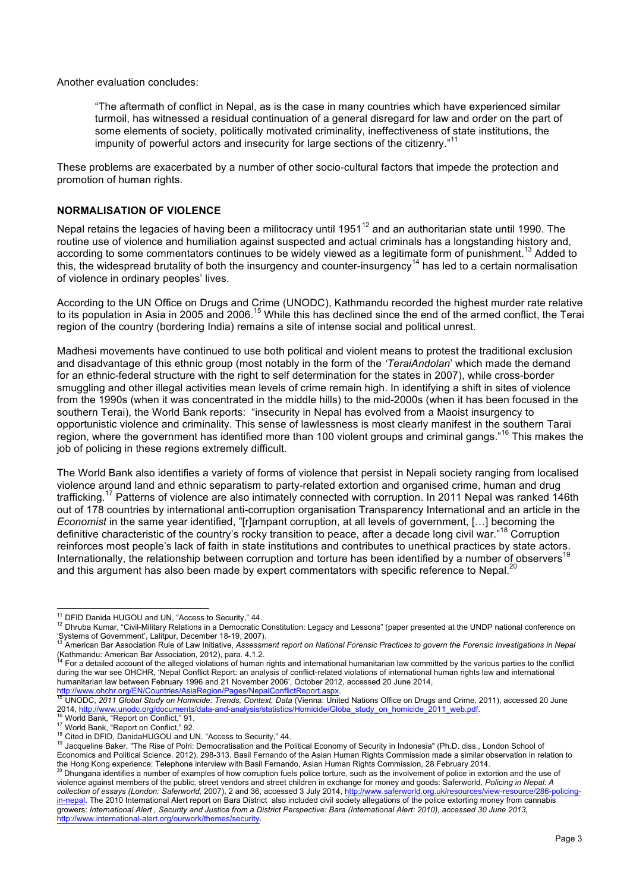Another evaluation concludes:

"The aftermath of conflict in Nepal, as is the case in many countries which have experienced similar turmoil, has witnessed a residual continuation of a general disregard for law and order on the part of some elements of society, politically motivated criminality, ineffectiveness of state institutions, the impunity of powerful actors and insecurity for large sections of the citizenry." 11

These problems are exacerbated by a number of other socio-cultural factors that impede the protection and promotion of human rights.

## **NORMALISATION OF VIOLENCE**

Nepal retains the legacies of having been a militocracy until 1951<sup>12</sup> and an authoritarian state until 1990. The routine use of violence and humiliation against suspected and actual criminals has a longstanding history and, according to some commentators continues to be widely viewed as a legitimate form of punishment.<sup>13</sup> Added to this, the widespread brutality of both the insurgency and counter-insurgency<sup>14</sup> has led to a certain normalisation of violence in ordinary peoples' lives.

According to the UN Office on Drugs and Crime (UNODC), Kathmandu recorded the highest murder rate relative to its population in Asia in 2005 and 2006.<sup>15</sup> While this has declined since the end of the armed conflict, the Terai region of the country (bordering India) remains a site of intense social and political unrest.

Madhesi movements have continued to use both political and violent means to protest the traditional exclusion and disadvantage of this ethnic group (most notably in the form of the *'TeraiAndolan*' which made the demand for an ethnic-federal structure with the right to self determination for the states in 2007), while cross-border smuggling and other illegal activities mean levels of crime remain high. In identifying a shift in sites of violence from the 1990s (when it was concentrated in the middle hills) to the mid-2000s (when it has been focused in the southern Terai), the World Bank reports: "insecurity in Nepal has evolved from a Maoist insurgency to opportunistic violence and criminality. This sense of lawlessness is most clearly manifest in the southern Tarai region, where the government has identified more than 100 violent groups and criminal gangs."<sup>16</sup> This makes the job of policing in these regions extremely difficult.

The World Bank also identifies a variety of forms of violence that persist in Nepali society ranging from localised violence around land and ethnic separatism to party-related extortion and organised crime, human and drug trafficking.<sup>17</sup> Patterns of violence are also intimately connected with corruption. In 2011 Nepal was ranked 146th out of 178 countries by international anti-corruption organisation Transparency International and an article in the *Economist* in the same year identified, "[r]ampant corruption, at all levels of government, […] becoming the definitive characteristic of the country's rocky transition to peace, after a decade long civil war." <sup>18</sup> Corruption reinforces most people's lack of faith in state institutions and contributes to unethical practices by state actors. Internationally, the relationship between corruption and torture has been identified by a number of observers<sup>19</sup> and this argument has also been made by expert commentators with specific reference to Nepal.<sup>20</sup>

<sup>&</sup>lt;sup>11</sup> DFID Danida HUGOU and UN, "Access to Security," 44.<br><sup>12</sup> Dhruba Kumar, "Civil-Military Relations in a Democratic Constitution: Legacy and Lessons" (paper presented at the UNDP national conference on

<sup>&#</sup>x27;Systems of Government', Lalitpur, December 18-19, 2007). <sup>13</sup> American Bar Association Rule of Law Initiative, *Assessment report on National Forensic Practices to govern the Forensic Investigations in Nepal* 

For a detailed account of the alleged violations of human rights and international humanitarian law committed by the various parties to the conflict during the war see OHCHR, 'Nepal Conflict Report: an analysis of conflict-related violations of international human rights law and international humanitarian law between February 1996 and 21 November 2006', October 2012, accessed 20 June 2014,<br>http://www.ohchr.org/EN/Countries/AsiaRegion/Pages/NepalConflictReport.aspx.

UNODC, 2011 Global Study on Homicide: Trends, Context, Data (Vienna: United Nations Office on Drugs and Crime, 2011), accessed 20 June 2014, http://www.unodc.org/documents/data-and-analysis/statistics/Homicide/Globa\_study\_on\_homicide\_2011\_web.pdf.<br><sup>16</sup> World Bank, "Report on Conflict," 91.<br><sup>17</sup> World Bank, "Report on Conflict," 92.<br><sup>18</sup> Cited in DFID, Dan

Economics and Political Science. 2012), 298-313. Basil Fernando of the Asian Human Rights Commission made a similar observation in relation to the Hong Kong experience: Telephone interview with Basil Fernando, Asian Human Rights Commission, 28 February 2014.<br><sup>20</sup> Dhungana identifies a number of examples of how corruption fuels police torture, such as the involvem

violence against members of the public, street vendors and street children in exchange for money and goods: Saferworld, Policing in Nepal: A *collection of essays (I ondon: Saferworld, 2007)*, 2 and 36, accessed 3 July 201 collection of essays (London: Saferworld, 2007), 2 and 36, accessed 3 July 2014, http://www.saferworld.org.uk/resources/view-resource/ in-nepal. The 2010 International Alert report on Bara District also included civil society allegations of the police extorting money from cannabis growers: *International Alert , Security and Justice from a District Perspective: Bara (International Alert: 2010), accessed 30 June 2013,*  http://www.international-alert.org/ourwork/themes/security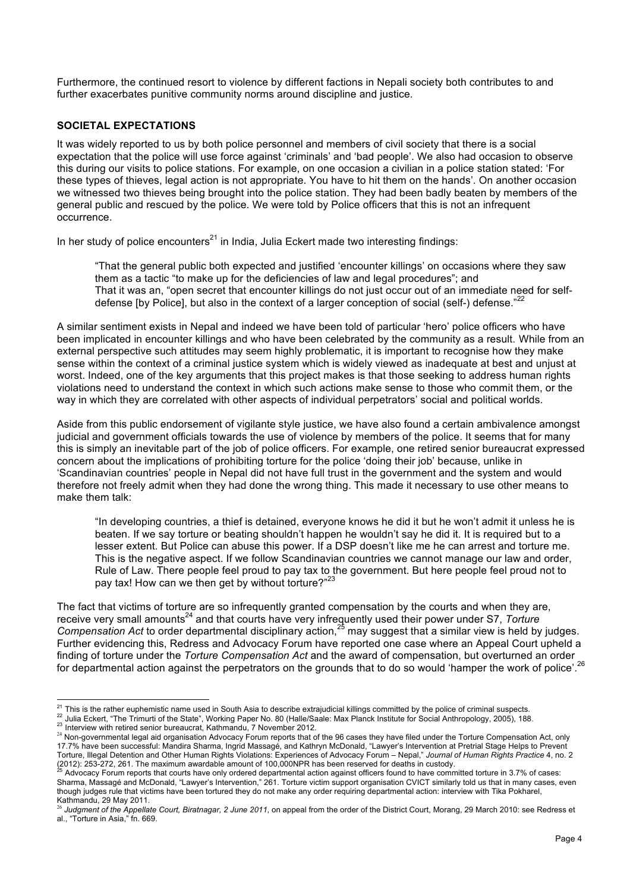Furthermore, the continued resort to violence by different factions in Nepali society both contributes to and further exacerbates punitive community norms around discipline and justice.

## **SOCIETAL EXPECTATIONS**

It was widely reported to us by both police personnel and members of civil society that there is a social expectation that the police will use force against 'criminals' and 'bad people'. We also had occasion to observe this during our visits to police stations. For example, on one occasion a civilian in a police station stated: 'For these types of thieves, legal action is not appropriate. You have to hit them on the hands'. On another occasion we witnessed two thieves being brought into the police station. They had been badly beaten by members of the general public and rescued by the police. We were told by Police officers that this is not an infrequent occurrence.

In her study of police encounters<sup>21</sup> in India, Julia Eckert made two interesting findings:

"That the general public both expected and justified 'encounter killings' on occasions where they saw them as a tactic "to make up for the deficiencies of law and legal procedures"; and That it was an, "open secret that encounter killings do not just occur out of an immediate need for selfdefense [by Police], but also in the context of a larger conception of social (self-) defense."<sup>22</sup>

A similar sentiment exists in Nepal and indeed we have been told of particular 'hero' police officers who have been implicated in encounter killings and who have been celebrated by the community as a result. While from an external perspective such attitudes may seem highly problematic, it is important to recognise how they make sense within the context of a criminal justice system which is widely viewed as inadequate at best and unjust at worst. Indeed, one of the key arguments that this project makes is that those seeking to address human rights violations need to understand the context in which such actions make sense to those who commit them, or the way in which they are correlated with other aspects of individual perpetrators' social and political worlds.

Aside from this public endorsement of vigilante style justice, we have also found a certain ambivalence amongst judicial and government officials towards the use of violence by members of the police. It seems that for many this is simply an inevitable part of the job of police officers. For example, one retired senior bureaucrat expressed concern about the implications of prohibiting torture for the police 'doing their job' because, unlike in 'Scandinavian countries' people in Nepal did not have full trust in the government and the system and would therefore not freely admit when they had done the wrong thing. This made it necessary to use other means to make them talk:

"In developing countries, a thief is detained, everyone knows he did it but he won't admit it unless he is beaten. If we say torture or beating shouldn't happen he wouldn't say he did it. It is required but to a lesser extent. But Police can abuse this power. If a DSP doesn't like me he can arrest and torture me. This is the negative aspect. If we follow Scandinavian countries we cannot manage our law and order, Rule of Law. There people feel proud to pay tax to the government. But here people feel proud not to pay tax! How can we then get by without torture?"<sup>23</sup>

The fact that victims of torture are so infrequently granted compensation by the courts and when they are, receive very small amounts<sup>24</sup> and that courts have very infrequently used their power under S7, *Torture Compensation Act* to order departmental disciplinary action,<sup>25</sup> may suggest that a similar view is held by judges. Further evidencing this, Redress and Advocacy Forum have reported one case where an Appeal Court upheld a finding of torture under the *Torture Compensation Act* and the award of compensation, but overturned an order for departmental action against the perpetrators on the grounds that to do so would 'hamper the work of police'.<sup>26</sup>

<sup>&</sup>lt;sup>21</sup> This is the rather euphemistic name used in South Asia to describe extrajudicial killings committed by the police of criminal suspects.<br><sup>22</sup> Julia Eckert, "The Trimurti of the State", Working Paper No. 80 (Halle/Saal

<sup>24</sup> Non-governmental legal aid organisation Advocacy Forum reports that of the 96 cases they have filed under the Torture Compensation Act, only 17.7% have been successful: Mandira Sharma, Ingrid Massagé, and Kathryn McDonald, "Lawyer's Intervention at Pretrial Stage Helps to Prevent Torture, Illegal Detention and Other Human Rights Violations: Experiences of Advocacy Forum – Nepal," *Journal of Human Rights Practice* 4, no. 2

Advocacy Forum reports that courts have only ordered departmental action against officers found to have committed torture in 3.7% of cases: Sharma, Massagé and McDonald, "Lawyer's Intervention," 261. Torture victim support organisation CVICT similarly told us that in many cases, even though judges rule that victims have been tortured they do not make any order requiring departmental action: interview with Tika Pokharel, Kathmandu, 29 May 2011.

Judgment of the Appellate Court, Biratnagar, 2 June 2011, on appeal from the order of the District Court, Morang, 29 March 2010: see Redress et al., "Torture in Asia," fn. 669.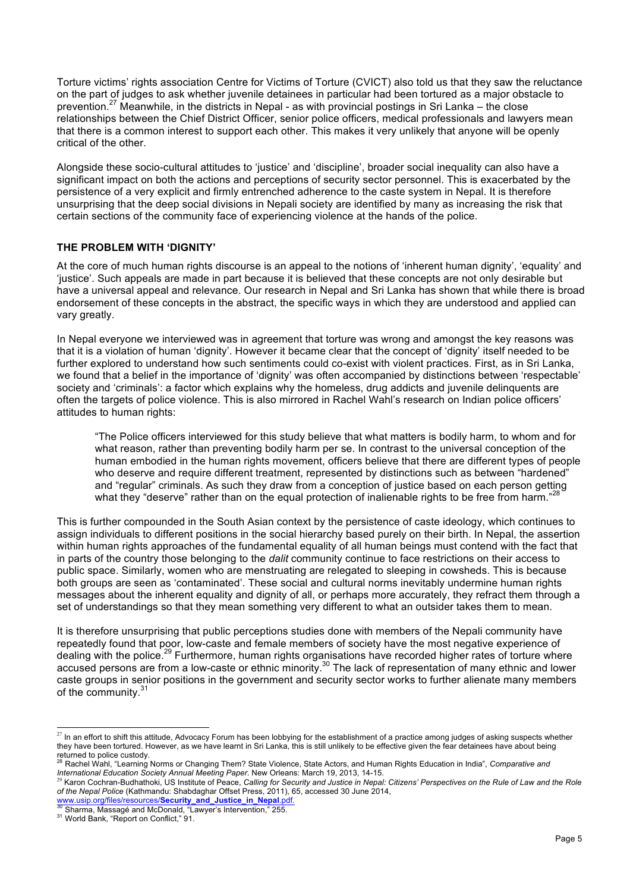Torture victims' rights association Centre for Victims of Torture (CVICT) also told us that they saw the reluctance on the part of judges to ask whether juvenile detainees in particular had been tortured as a major obstacle to prevention.<sup>27</sup> Meanwhile, in the districts in Nepal - as with provincial postings in Sri Lanka – the close relationships between the Chief District Officer, senior police officers, medical professionals and lawyers mean that there is a common interest to support each other. This makes it very unlikely that anyone will be openly critical of the other.

Alongside these socio-cultural attitudes to 'justice' and 'discipline', broader social inequality can also have a significant impact on both the actions and perceptions of security sector personnel. This is exacerbated by the persistence of a very explicit and firmly entrenched adherence to the caste system in Nepal. It is therefore unsurprising that the deep social divisions in Nepali society are identified by many as increasing the risk that certain sections of the community face of experiencing violence at the hands of the police.

### **THE PROBLEM WITH 'DIGNITY'**

At the core of much human rights discourse is an appeal to the notions of 'inherent human dignity', 'equality' and 'justice'. Such appeals are made in part because it is believed that these concepts are not only desirable but have a universal appeal and relevance. Our research in Nepal and Sri Lanka has shown that while there is broad endorsement of these concepts in the abstract, the specific ways in which they are understood and applied can vary greatly.

In Nepal everyone we interviewed was in agreement that torture was wrong and amongst the key reasons was that it is a violation of human 'dignity'. However it became clear that the concept of 'dignity' itself needed to be further explored to understand how such sentiments could co-exist with violent practices. First, as in Sri Lanka, we found that a belief in the importance of 'dignity' was often accompanied by distinctions between 'respectable' society and 'criminals': a factor which explains why the homeless, drug addicts and juvenile delinquents are often the targets of police violence. This is also mirrored in Rachel Wahl's research on Indian police officers' attitudes to human rights:

"The Police officers interviewed for this study believe that what matters is bodily harm, to whom and for what reason, rather than preventing bodily harm per se. In contrast to the universal conception of the human embodied in the human rights movement, officers believe that there are different types of people who deserve and require different treatment, represented by distinctions such as between "hardened" and "regular" criminals. As such they draw from a conception of justice based on each person getting what they "deserve" rather than on the equal protection of inalienable rights to be free from harm."<sup>28</sup>

This is further compounded in the South Asian context by the persistence of caste ideology, which continues to assign individuals to different positions in the social hierarchy based purely on their birth. In Nepal, the assertion within human rights approaches of the fundamental equality of all human beings must contend with the fact that in parts of the country those belonging to the *dalit* community continue to face restrictions on their access to public space. Similarly, women who are menstruating are relegated to sleeping in cowsheds. This is because both groups are seen as 'contaminated'. These social and cultural norms inevitably undermine human rights messages about the inherent equality and dignity of all, or perhaps more accurately, they refract them through a set of understandings so that they mean something very different to what an outsider takes them to mean.

It is therefore unsurprising that public perceptions studies done with members of the Nepali community have repeatedly found that poor, low-caste and female members of society have the most negative experience of dealing with the police.<sup>29</sup> Furthermore, human rights organisations have recorded higher rates of torture where accused persons are from a low-caste or ethnic minority.<sup>30</sup> The lack of representation of many ethnic and lower caste groups in senior positions in the government and security sector works to further alienate many members of the community.<sup>31</sup>

l

 $^{27}$  In an effort to shift this attitude, Advocacy Forum has been lobbying for the establishment of a practice among judges of asking suspects whether they have been tortured. However, as we have learnt in Sri Lanka, this is still unlikely to be effective given the fear detainees have about being returned to police custody.

<sup>&</sup>lt;sup>8</sup> Rachel Wahl, "Learning Norms or Changing Them? State Violence, State Actors, and Human Rights Education in India", Comparative and *International Education Society Annual Meeting Paper*. New Orleans: March 19, 2013, 14-15.

<sup>&</sup>lt;sup>29</sup> Karon Cochran-Budhathoki, US Institute of Peace, *Calling for Security and Justice in Nepal: Citizens' Perspectives on the Rule of Law and the Role of the Nepal Police* (Kathmandu: Shabdaghar Offset Press, 2011), 65, accessed 30 June 2014,

www.usip.org/files/resources/**Security\_and\_Justice\_in\_Nepal.pdf**. 30 sharma, Massagé and McDonald, "Lawyer's Intervention," 255. 31 World Bank, "Report on Conflict," 91.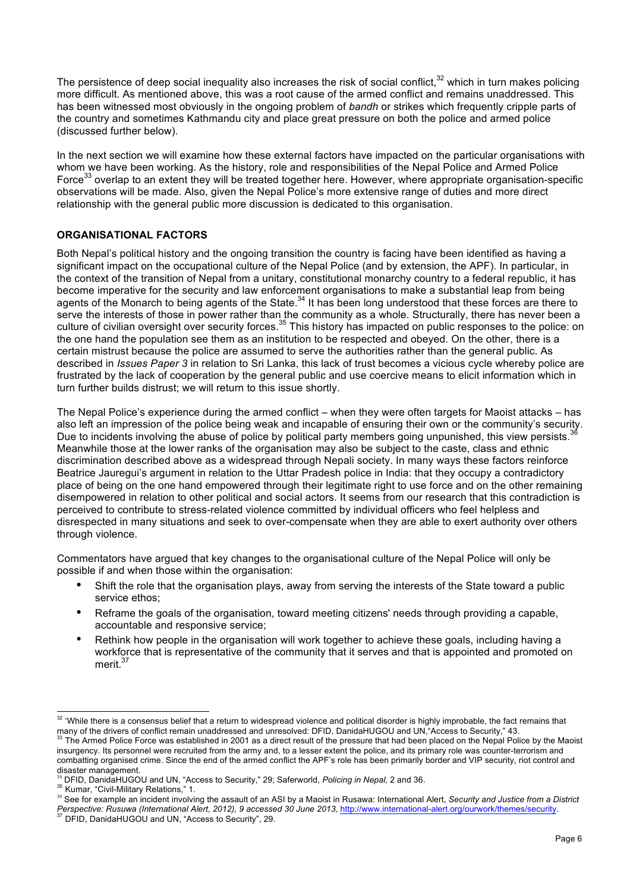The persistence of deep social inequality also increases the risk of social conflict, $32$  which in turn makes policing more difficult. As mentioned above, this was a root cause of the armed conflict and remains unaddressed. This has been witnessed most obviously in the ongoing problem of *bandh* or strikes which frequently cripple parts of the country and sometimes Kathmandu city and place great pressure on both the police and armed police (discussed further below).

In the next section we will examine how these external factors have impacted on the particular organisations with whom we have been working. As the history, role and responsibilities of the Nepal Police and Armed Police Force<sup>33</sup> overlap to an extent they will be treated together here. However, where appropriate organisation-specific observations will be made. Also, given the Nepal Police's more extensive range of duties and more direct relationship with the general public more discussion is dedicated to this organisation.

## **ORGANISATIONAL FACTORS**

Both Nepal's political history and the ongoing transition the country is facing have been identified as having a significant impact on the occupational culture of the Nepal Police (and by extension, the APF). In particular, in the context of the transition of Nepal from a unitary, constitutional monarchy country to a federal republic, it has become imperative for the security and law enforcement organisations to make a substantial leap from being agents of the Monarch to being agents of the State.<sup>34</sup> It has been long understood that these forces are there to serve the interests of those in power rather than the community as a whole. Structurally, there has never been a culture of civilian oversight over security forces.<sup>35</sup> This history has impacted on public responses to the police: on the one hand the population see them as an institution to be respected and obeyed. On the other, there is a certain mistrust because the police are assumed to serve the authorities rather than the general public. As described in *Issues Paper 3* in relation to Sri Lanka, this lack of trust becomes a vicious cycle whereby police are frustrated by the lack of cooperation by the general public and use coercive means to elicit information which in turn further builds distrust; we will return to this issue shortly.

The Nepal Police's experience during the armed conflict – when they were often targets for Maoist attacks – has also left an impression of the police being weak and incapable of ensuring their own or the community's security. Due to incidents involving the abuse of police by political party members going unpunished, this view persists.<sup>3</sup> Meanwhile those at the lower ranks of the organisation may also be subject to the caste, class and ethnic discrimination described above as a widespread through Nepali society. In many ways these factors reinforce Beatrice Jauregui's argument in relation to the Uttar Pradesh police in India: that they occupy a contradictory place of being on the one hand empowered through their legitimate right to use force and on the other remaining disempowered in relation to other political and social actors. It seems from our research that this contradiction is perceived to contribute to stress-related violence committed by individual officers who feel helpless and disrespected in many situations and seek to over-compensate when they are able to exert authority over others through violence.

Commentators have argued that key changes to the organisational culture of the Nepal Police will only be possible if and when those within the organisation:

- Shift the role that the organisation plays, away from serving the interests of the State toward a public service ethos;
- Reframe the goals of the organisation, toward meeting citizens' needs through providing a capable, accountable and responsive service;
- Rethink how people in the organisation will work together to achieve these goals, including having a workforce that is representative of the community that it serves and that is appointed and promoted on merit.<sup>37</sup>

<sup>&</sup>lt;sup>32</sup> 'While there is a consensus belief that a return to widespread violence and political disorder is highly improbable, the fact remains that many of the drivers of conflict remain unaddressed and unresolved: DFID, Danid

The Armed Police Force was established in 2001 as a direct result of the pressure that had been placed on the Nepal Police by the Maoist insurgency. Its personnel were recruited from the army and, to a lesser extent the police, and its primary role was counter-terrorism and combatting organised crime. Since the end of the armed conflict the APF's role has been primarily border and VIP security, riot control and disaster management.

<sup>&</sup>lt;sup>34</sup> DFID, DanidaHUGOU and UN, "Access to Security," 29; Saferworld, *Policing in Nepal,* 2 and 36.<br><sup>35</sup> Kumar, "Civil-Military Relations," 1.

<sup>36</sup> See for example an incident involving the assault of an ASI by a Maoist in Rusawa: International Alert, *Security and Justice from a District*  Perspective: Rusuwa (International Alert, 2012), 9 accessed 30 June 2013, http://www.international-alert.org/ourwork/themes/security.<br><sup>37</sup> DFID, DanidaHUGOU and UN, "Access to Security", 29.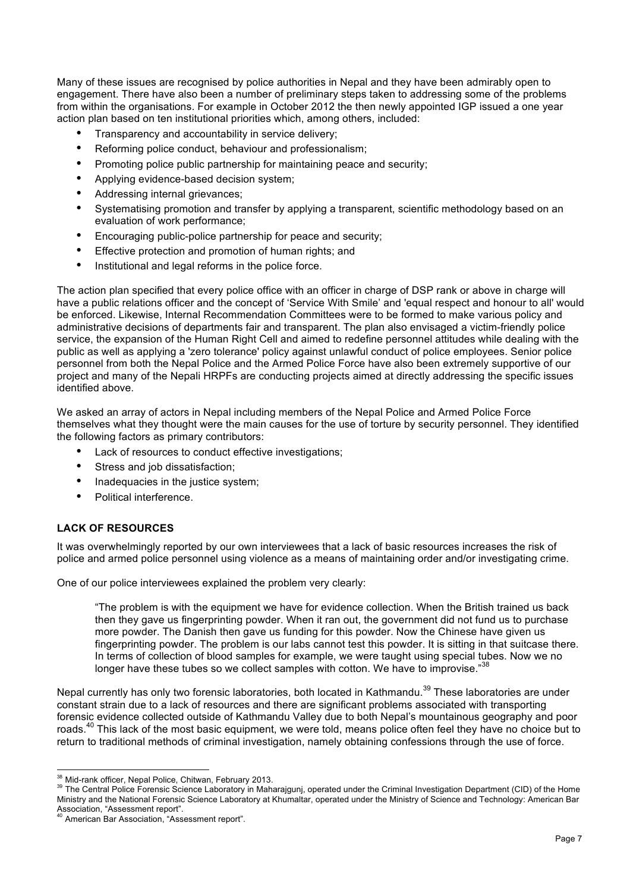Many of these issues are recognised by police authorities in Nepal and they have been admirably open to engagement. There have also been a number of preliminary steps taken to addressing some of the problems from within the organisations. For example in October 2012 the then newly appointed IGP issued a one year action plan based on ten institutional priorities which, among others, included:

- Transparency and accountability in service delivery;
- Reforming police conduct, behaviour and professionalism;
- Promoting police public partnership for maintaining peace and security;
- Applying evidence-based decision system;
- Addressing internal grievances;
- Systematising promotion and transfer by applying a transparent, scientific methodology based on an evaluation of work performance;
- Encouraging public-police partnership for peace and security;
- Effective protection and promotion of human rights; and
- Institutional and legal reforms in the police force.

The action plan specified that every police office with an officer in charge of DSP rank or above in charge will have a public relations officer and the concept of 'Service With Smile' and 'equal respect and honour to all' would be enforced. Likewise, Internal Recommendation Committees were to be formed to make various policy and administrative decisions of departments fair and transparent. The plan also envisaged a victim-friendly police service, the expansion of the Human Right Cell and aimed to redefine personnel attitudes while dealing with the public as well as applying a 'zero tolerance' policy against unlawful conduct of police employees. Senior police personnel from both the Nepal Police and the Armed Police Force have also been extremely supportive of our project and many of the Nepali HRPFs are conducting projects aimed at directly addressing the specific issues identified above.

We asked an array of actors in Nepal including members of the Nepal Police and Armed Police Force themselves what they thought were the main causes for the use of torture by security personnel. They identified the following factors as primary contributors:

- Lack of resources to conduct effective investigations;
- Stress and job dissatisfaction;
- Inadequacies in the justice system:
- Political interference.

## **LACK OF RESOURCES**

It was overwhelmingly reported by our own interviewees that a lack of basic resources increases the risk of police and armed police personnel using violence as a means of maintaining order and/or investigating crime.

One of our police interviewees explained the problem very clearly:

"The problem is with the equipment we have for evidence collection. When the British trained us back then they gave us fingerprinting powder. When it ran out, the government did not fund us to purchase more powder. The Danish then gave us funding for this powder. Now the Chinese have given us fingerprinting powder. The problem is our labs cannot test this powder. It is sitting in that suitcase there. In terms of collection of blood samples for example, we were taught using special tubes. Now we no longer have these tubes so we collect samples with cotton. We have to improvise."<sup>38</sup>

Nepal currently has only two forensic laboratories, both located in Kathmandu.<sup>39</sup> These laboratories are under constant strain due to a lack of resources and there are significant problems associated with transporting forensic evidence collected outside of Kathmandu Valley due to both Nepal's mountainous geography and poor roads.<sup>40</sup> This lack of the most basic equipment, we were told, means police often feel they have no choice but to return to traditional methods of criminal investigation, namely obtaining confessions through the use of force.

<sup>&</sup>lt;sup>38</sup> Mid-rank officer, Nepal Police, Chitwan, February 2013.<br><sup>39</sup> The Central Police Forensic Science Laboratory in Maharajgunj, operated under the Criminal Investigation Department (CID) of the Home Ministry and the National Forensic Science Laboratory at Khumaltar, operated under the Ministry of Science and Technology: American Bar<br>Association, "Assessment report".

American Bar Association, "Assessment report".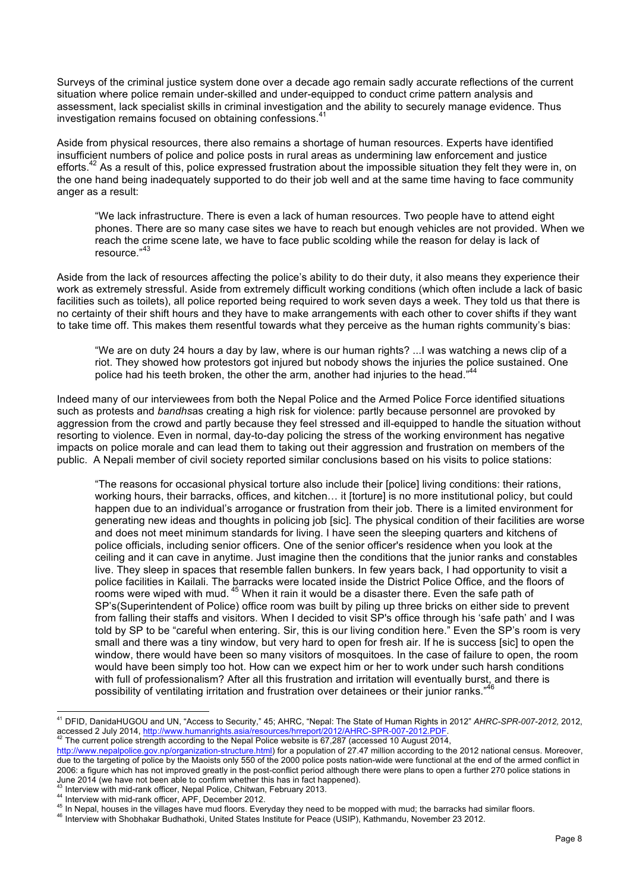Surveys of the criminal justice system done over a decade ago remain sadly accurate reflections of the current situation where police remain under-skilled and under-equipped to conduct crime pattern analysis and assessment, lack specialist skills in criminal investigation and the ability to securely manage evidence. Thus investigation remains focused on obtaining confessions.<sup>41</sup>

Aside from physical resources, there also remains a shortage of human resources. Experts have identified insufficient numbers of police and police posts in rural areas as undermining law enforcement and justice efforts.<sup>42</sup> As a result of this, police expressed frustration about the impossible situation they felt they were in, on the one hand being inadequately supported to do their job well and at the same time having to face community anger as a result:

"We lack infrastructure. There is even a lack of human resources. Two people have to attend eight phones. There are so many case sites we have to reach but enough vehicles are not provided. When we reach the crime scene late, we have to face public scolding while the reason for delay is lack of resource."<sup>43</sup>

Aside from the lack of resources affecting the police's ability to do their duty, it also means they experience their work as extremely stressful. Aside from extremely difficult working conditions (which often include a lack of basic facilities such as toilets), all police reported being required to work seven days a week. They told us that there is no certainty of their shift hours and they have to make arrangements with each other to cover shifts if they want to take time off. This makes them resentful towards what they perceive as the human rights community's bias:

"We are on duty 24 hours a day by law, where is our human rights? ...I was watching a news clip of a riot. They showed how protestors got injured but nobody shows the injuries the police sustained. One police had his teeth broken, the other the arm, another had injuries to the head." 44

Indeed many of our interviewees from both the Nepal Police and the Armed Police Force identified situations such as protests and *bandhs*as creating a high risk for violence: partly because personnel are provoked by aggression from the crowd and partly because they feel stressed and ill-equipped to handle the situation without resorting to violence. Even in normal, day-to-day policing the stress of the working environment has negative impacts on police morale and can lead them to taking out their aggression and frustration on members of the public. A Nepali member of civil society reported similar conclusions based on his visits to police stations:

"The reasons for occasional physical torture also include their [police] living conditions: their rations, working hours, their barracks, offices, and kitchen... it [torture] is no more institutional policy, but could happen due to an individual's arrogance or frustration from their job. There is a limited environment for generating new ideas and thoughts in policing job [sic]. The physical condition of their facilities are worse and does not meet minimum standards for living. I have seen the sleeping quarters and kitchens of police officials, including senior officers. One of the senior officer's residence when you look at the ceiling and it can cave in anytime. Just imagine then the conditions that the junior ranks and constables live. They sleep in spaces that resemble fallen bunkers. In few years back, I had opportunity to visit a police facilities in Kailali. The barracks were located inside the District Police Office, and the floors of rooms were wiped with mud. <sup>45</sup> When it rain it would be a disaster there. Even the safe path of SP's(Superintendent of Police) office room was built by piling up three bricks on either side to prevent from falling their staffs and visitors. When I decided to visit SP's office through his 'safe path' and I was told by SP to be "careful when entering. Sir, this is our living condition here." Even the SP's room is very small and there was a tiny window, but very hard to open for fresh air. If he is success [sic] to open the window, there would have been so many visitors of mosquitoes. In the case of failure to open, the room would have been simply too hot. How can we expect him or her to work under such harsh conditions with full of professionalism? After all this frustration and irritation will eventually burst, and there is no<br>neceibility of ventilating irritation and frustration over detainees or their junier ranks "<sup>46</sup> possibility of ventilating irritation and frustration over detainees or their junior ranks."

 <sup>41</sup> DFID, DanidaHUGOU and UN, "Access to Security," 45; AHRC, "Nepal: The State of Human Rights in 2012" *AHRC-SPR-007-2012,* 2012, accessed 2 July 2014, http://www.humanrights.asia/resources/hrreport/2012/AHRC-SPR-007-2012.PDF.<br><sup>42</sup> The current police strength according to the Nepal Police website is 67,287 (accessed 10 August 2014,

http://www.nepalpolice.gov.np/organization-structure.html) for a population of 27.47 million according to the 2012 national census. Moreover, due to the targeting of police by the Maoists only 550 of the 2000 police posts nation-wide were functional at the end of the armed conflict in 2006: a figure which has not improved greatly in the post-conflict period although there were plans to open a further 270 police stations in June 2014 (we have not been able to confirm whether this has in fact happened).

<sup>&</sup>lt;sup>43</sup> Interview with mid-rank officer, Nepal Police, Chitwan, February 2013.<br><sup>44</sup> Interview with mid-rank officer, APF, December 2012.<br><sup>45</sup> In Nepal, houses in the villages have mud floors. Everyday they need to be mopped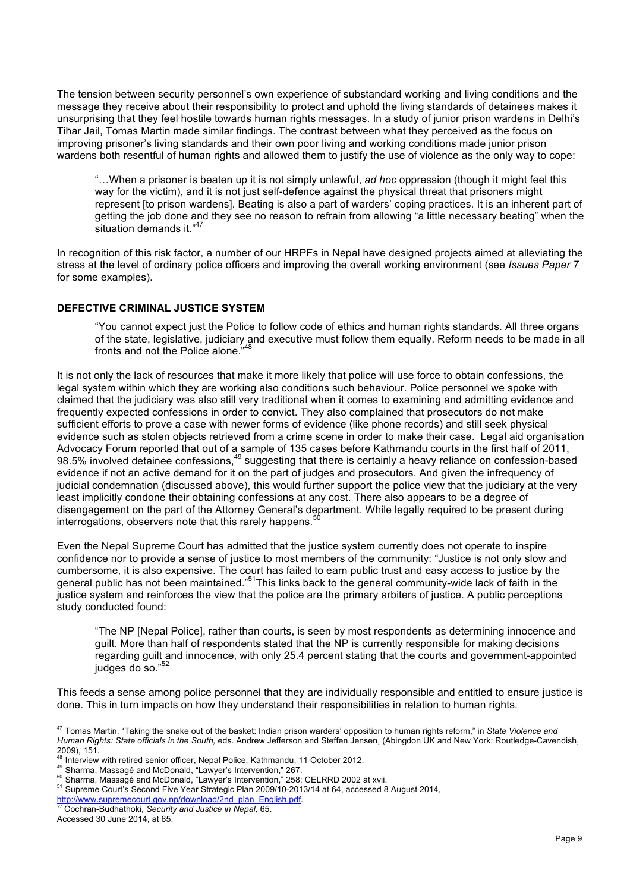The tension between security personnel's own experience of substandard working and living conditions and the message they receive about their responsibility to protect and uphold the living standards of detainees makes it unsurprising that they feel hostile towards human rights messages. In a study of junior prison wardens in Delhi's Tihar Jail, Tomas Martin made similar findings. The contrast between what they perceived as the focus on improving prisoner's living standards and their own poor living and working conditions made junior prison wardens both resentful of human rights and allowed them to justify the use of violence as the only way to cope:

"…When a prisoner is beaten up it is not simply unlawful, *ad hoc* oppression (though it might feel this way for the victim), and it is not just self-defence against the physical threat that prisoners might represent [to prison wardens]. Beating is also a part of warders' coping practices. It is an inherent part of getting the job done and they see no reason to refrain from allowing "a little necessary beating" when the situation demands it." 47

In recognition of this risk factor, a number of our HRPFs in Nepal have designed projects aimed at alleviating the stress at the level of ordinary police officers and improving the overall working environment (see *Issues Paper 7*  for some examples).

## **DEFECTIVE CRIMINAL JUSTICE SYSTEM**

"You cannot expect just the Police to follow code of ethics and human rights standards. All three organs of the state, legislative, judiciary and executive must follow them equally. Reform needs to be made in all fronts and not the Police alone."<sup>48</sup>

It is not only the lack of resources that make it more likely that police will use force to obtain confessions, the legal system within which they are working also conditions such behaviour. Police personnel we spoke with claimed that the judiciary was also still very traditional when it comes to examining and admitting evidence and frequently expected confessions in order to convict. They also complained that prosecutors do not make sufficient efforts to prove a case with newer forms of evidence (like phone records) and still seek physical evidence such as stolen objects retrieved from a crime scene in order to make their case. Legal aid organisation Advocacy Forum reported that out of a sample of 135 cases before Kathmandu courts in the first half of 2011, 98.5% involved detainee confessions,<sup>49</sup> suggesting that there is certainly a heavy reliance on confession-based evidence if not an active demand for it on the part of judges and prosecutors. And given the infrequency of judicial condemnation (discussed above), this would further support the police view that the judiciary at the very least implicitly condone their obtaining confessions at any cost. There also appears to be a degree of disengagement on the part of the Attorney General's department. While legally required to be present during interrogations, observers note that this rarely happens.<sup>50</sup>

Even the Nepal Supreme Court has admitted that the justice system currently does not operate to inspire confidence nor to provide a sense of justice to most members of the community: "Justice is not only slow and cumbersome, it is also expensive. The court has failed to earn public trust and easy access to justice by the general public has not been maintained."<sup>51</sup>This links back to the general community-wide lack of faith in the justice system and reinforces the view that the police are the primary arbiters of justice. A public perceptions study conducted found:

"The NP [Nepal Police], rather than courts, is seen by most respondents as determining innocence and guilt. More than half of respondents stated that the NP is currently responsible for making decisions regarding guilt and innocence, with only 25.4 percent stating that the courts and government-appointed judges do so." 52

This feeds a sense among police personnel that they are individually responsible and entitled to ensure justice is done. This in turn impacts on how they understand their responsibilities in relation to human rights.

 <sup>47</sup> Tomas Martin, "Taking the snake out of the basket: Indian prison warders' opposition to human rights reform," in *State Violence and Human Rights: State officials in the South,* eds. Andrew Jefferson and Steffen Jensen, (Abingdon UK and New York: Routledge-Cavendish, 2009), 151. Concern and Steffen Jen and Steffen Jen 2009), 151.<br><sup>48</sup> Interview with retired senior officer, Nepal Police, Kathmandu, 11 October 2012.

<sup>&</sup>lt;sup>49</sup> Sharma, Massagé and McDonald, "Lawyer's Intervention," 267.<br><sup>50</sup> Sharma, Massagé and McDonald, "Lawyer's Intervention," 267.<br><sup>51</sup> Supreme Court's Second Five Year Strategic Plan 2009/10-2013/14 at 64, accessed 8 Augus

http://www.supremecourt.gov.np/download/2nd\_plan\_English.pdf. <sup>52</sup> Cochran-Budhathoki, *Security and Justice in Nepal,* 65.

Accessed 30 June 2014, at 65.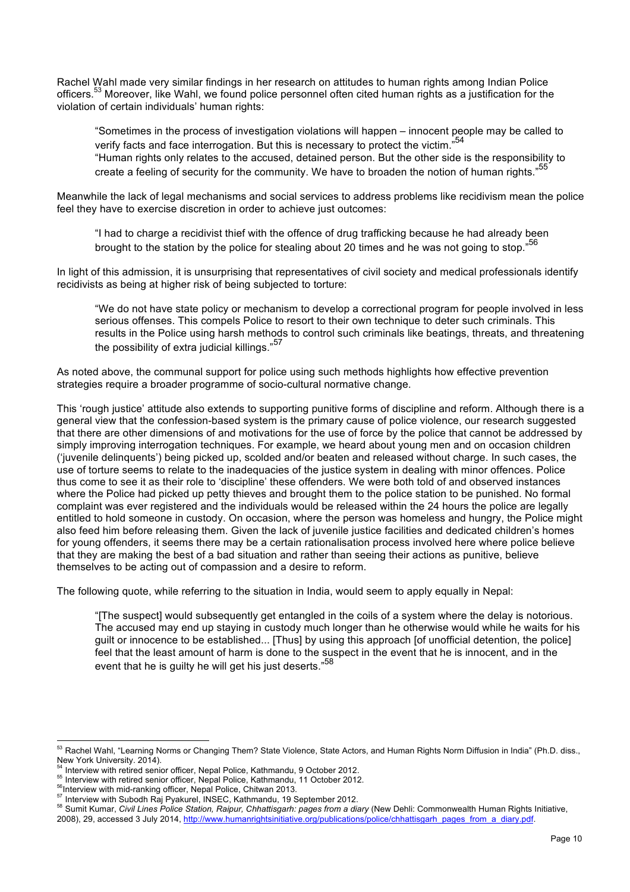Rachel Wahl made very similar findings in her research on attitudes to human rights among Indian Police officers.<sup>53</sup> Moreover, like Wahl, we found police personnel often cited human rights as a justification for the violation of certain individuals' human rights:

"Sometimes in the process of investigation violations will happen – innocent people may be called to verify facts and face interrogation. But this is necessary to protect the victim."<sup>54</sup> "Human rights only relates to the accused, detained person. But the other side is the responsibility to create a feeling of security for the community. We have to broaden the notion of human rights."<sup>55</sup>

Meanwhile the lack of legal mechanisms and social services to address problems like recidivism mean the police feel they have to exercise discretion in order to achieve just outcomes:

"I had to charge a recidivist thief with the offence of drug trafficking because he had already been brought to the station by the police for stealing about 20 times and he was not going to stop." 56

In light of this admission, it is unsurprising that representatives of civil society and medical professionals identify recidivists as being at higher risk of being subjected to torture:

"We do not have state policy or mechanism to develop a correctional program for people involved in less serious offenses. This compels Police to resort to their own technique to deter such criminals. This results in the Police using harsh methods to control such criminals like beatings, threats, and threatening the possibility of extra judicial killings."<sup>57</sup>

As noted above, the communal support for police using such methods highlights how effective prevention strategies require a broader programme of socio-cultural normative change.

This 'rough justice' attitude also extends to supporting punitive forms of discipline and reform. Although there is a general view that the confession-based system is the primary cause of police violence, our research suggested that there are other dimensions of and motivations for the use of force by the police that cannot be addressed by simply improving interrogation techniques. For example, we heard about young men and on occasion children ('juvenile delinquents') being picked up, scolded and/or beaten and released without charge. In such cases, the use of torture seems to relate to the inadequacies of the justice system in dealing with minor offences. Police thus come to see it as their role to 'discipline' these offenders. We were both told of and observed instances where the Police had picked up petty thieves and brought them to the police station to be punished. No formal complaint was ever registered and the individuals would be released within the 24 hours the police are legally entitled to hold someone in custody. On occasion, where the person was homeless and hungry, the Police might also feed him before releasing them. Given the lack of juvenile justice facilities and dedicated children's homes for young offenders, it seems there may be a certain rationalisation process involved here where police believe that they are making the best of a bad situation and rather than seeing their actions as punitive, believe themselves to be acting out of compassion and a desire to reform.

The following quote, while referring to the situation in India, would seem to apply equally in Nepal:

"[The suspect] would subsequently get entangled in the coils of a system where the delay is notorious. The accused may end up staying in custody much longer than he otherwise would while he waits for his guilt or innocence to be established... [Thus] by using this approach [of unofficial detention, the police] feel that the least amount of harm is done to the suspect in the event that he is innocent, and in the event that he is guilty he will get his just deserts."<sup>58</sup>

<sup>53</sup> Rachel Wahl, "Learning Norms or Changing Them? State Violence, State Actors, and Human Rights Norm Diffusion in India" (Ph.D. diss., New York University. 2014).<br><sup>54</sup> Interview with retired senior officer, Nepal Police, Kathmandu, 9 October 2012.

<sup>&</sup>lt;sup>55</sup> Interview with retired senior officer, Nepal Police, Kathmandu, 11 October 2012.<br><sup>56</sup> Interview with mid-ranking officer, Nepal Police, Chitwan 2013.<br><sup>57</sup> Interview with Subodh Raj Pyakurel, INSEC, Kathmandu, 19 Septe

<sup>2008), 29,</sup> accessed 3 July 2014, http://www.humanrightsinitiative.org/publications/police/chhattisgarh\_pages\_from\_a\_diary.pdf.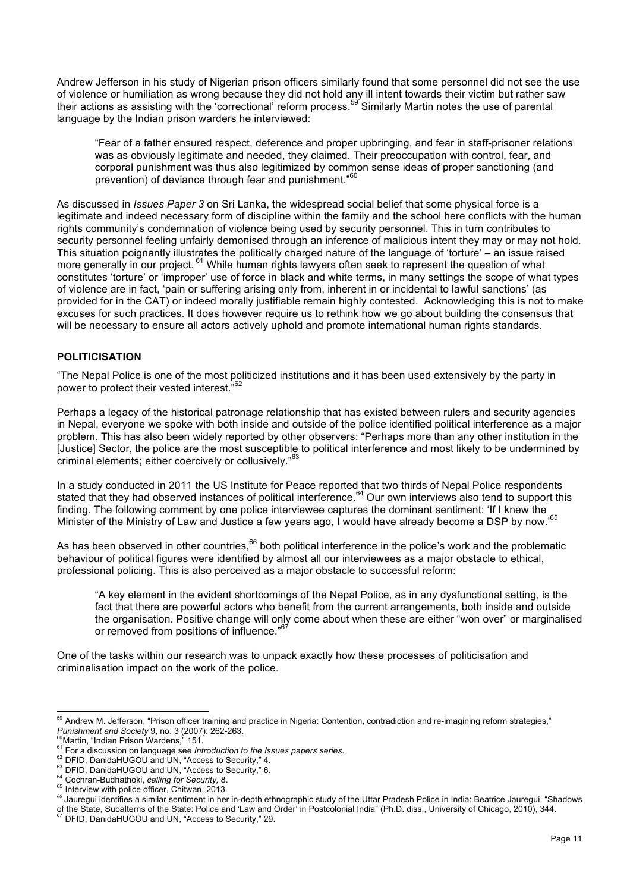Andrew Jefferson in his study of Nigerian prison officers similarly found that some personnel did not see the use of violence or humiliation as wrong because they did not hold any ill intent towards their victim but rather saw their actions as assisting with the 'correctional' reform process.<sup>59</sup> Similarly Martin notes the use of parental language by the Indian prison warders he interviewed:

"Fear of a father ensured respect, deference and proper upbringing, and fear in staff-prisoner relations was as obviously legitimate and needed, they claimed. Their preoccupation with control, fear, and corporal punishment was thus also legitimized by common sense ideas of proper sanctioning (and prevention) of deviance through fear and punishment."<sup>60</sup>

As discussed in *Issues Paper 3* on Sri Lanka, the widespread social belief that some physical force is a legitimate and indeed necessary form of discipline within the family and the school here conflicts with the human rights community's condemnation of violence being used by security personnel. This in turn contributes to security personnel feeling unfairly demonised through an inference of malicious intent they may or may not hold. This situation poignantly illustrates the politically charged nature of the language of 'torture' – an issue raised more generally in our project. <sup>61</sup> While human rights lawyers often seek to represent the question of what constitutes 'torture' or 'improper' use of force in black and white terms, in many settings the scope of what types of violence are in fact, 'pain or suffering arising only from, inherent in or incidental to lawful sanctions' (as provided for in the CAT) or indeed morally justifiable remain highly contested. Acknowledging this is not to make excuses for such practices. It does however require us to rethink how we go about building the consensus that will be necessary to ensure all actors actively uphold and promote international human rights standards.

## **POLITICISATION**

"The Nepal Police is one of the most politicized institutions and it has been used extensively by the party in power to protect their vested interest."<sup>62</sup>

Perhaps a legacy of the historical patronage relationship that has existed between rulers and security agencies in Nepal, everyone we spoke with both inside and outside of the police identified political interference as a major problem. This has also been widely reported by other observers: "Perhaps more than any other institution in the [Justice] Sector, the police are the most susceptible to political interference and most likely to be undermined by criminal elements; either coercively or collusively."<sup>63</sup>

In a study conducted in 2011 the US Institute for Peace reported that two thirds of Nepal Police respondents stated that they had observed instances of political interference.<sup>64</sup> Our own interviews also tend to support this finding. The following comment by one police interviewee captures the dominant sentiment: 'If I knew the Minister of the Ministry of Law and Justice a few years ago, I would have already become a DSP by now.'<sup>65</sup>

As has been observed in other countries, $66$  both political interference in the police's work and the problematic behaviour of political figures were identified by almost all our interviewees as a major obstacle to ethical, professional policing. This is also perceived as a major obstacle to successful reform:

"A key element in the evident shortcomings of the Nepal Police, as in any dysfunctional setting, is the fact that there are powerful actors who benefit from the current arrangements, both inside and outside the organisation. Positive change will only come about when these are either "won over" or marginalised or removed from positions of influence."<sup>67</sup>

One of the tasks within our research was to unpack exactly how these processes of politicisation and criminalisation impact on the work of the police.

 $^{59}$  Andrew M. Jefferson, "Prison officer training and practice in Nigeria: Contention, contradiction and re-imagining reform strategies,"<br>*Punishment and Society* 9, no. 3 (2007): 262-263.<br><sup>60</sup>Martin, "Indian Prison Wa

<sup>&</sup>lt;sup>61</sup> For a discussion on language see *Introduction to the Issues papers series.*<br><sup>62</sup> DFID, DanidaHUGOU and UN, "Access to Security," 4.<br><sup>63</sup> DFID, DanidaHUGOU and UN, "Access to Security," 6.<br><sup>64</sup> Cochran-Budhathoki, *ca* 

<sup>66</sup> Jauregui identifies a similar sentiment in her in-depth ethnographic study of the Uttar Pradesh Police in India: Beatrice Jauregui, "Shadows of the State, Subalterns of the State: Police and 'Law and Order' in Postcolonial India" (Ph.D. diss., University of Chicago, 2010), 344. <sup>67</sup> DFID, DanidaHUGOU and UN, "Access to Security," 29.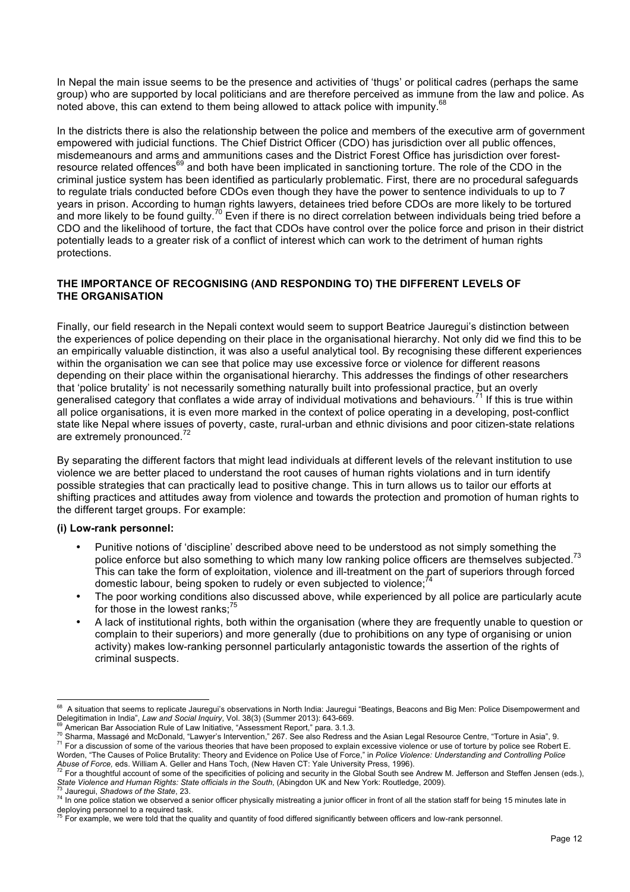In Nepal the main issue seems to be the presence and activities of 'thugs' or political cadres (perhaps the same group) who are supported by local politicians and are therefore perceived as immune from the law and police. As noted above, this can extend to them being allowed to attack police with impunity.<sup>68</sup>

In the districts there is also the relationship between the police and members of the executive arm of government empowered with judicial functions. The Chief District Officer (CDO) has jurisdiction over all public offences, misdemeanours and arms and ammunitions cases and the District Forest Office has jurisdiction over forestresource related offences<sup>69</sup> and both have been implicated in sanctioning torture. The role of the CDO in the criminal justice system has been identified as particularly problematic. First, there are no procedural safeguards to regulate trials conducted before CDOs even though they have the power to sentence individuals to up to 7 years in prison. According to human rights lawyers, detainees tried before CDOs are more likely to be tortured and more likely to be found quilty.<sup>70</sup> Even if there is no direct correlation between individuals being tried before a CDO and the likelihood of torture, the fact that CDOs have control over the police force and prison in their district potentially leads to a greater risk of a conflict of interest which can work to the detriment of human rights protections.

## **THE IMPORTANCE OF RECOGNISING (AND RESPONDING TO) THE DIFFERENT LEVELS OF THE ORGANISATION**

Finally, our field research in the Nepali context would seem to support Beatrice Jauregui's distinction between the experiences of police depending on their place in the organisational hierarchy. Not only did we find this to be an empirically valuable distinction, it was also a useful analytical tool. By recognising these different experiences within the organisation we can see that police may use excessive force or violence for different reasons depending on their place within the organisational hierarchy. This addresses the findings of other researchers that 'police brutality' is not necessarily something naturally built into professional practice, but an overly generalised category that conflates a wide array of individual motivations and behaviours.<sup>71</sup> If this is true within all police organisations, it is even more marked in the context of police operating in a developing, post-conflict state like Nepal where issues of poverty, caste, rural-urban and ethnic divisions and poor citizen-state relations are extremely pronounced.<sup>72</sup>

By separating the different factors that might lead individuals at different levels of the relevant institution to use violence we are better placed to understand the root causes of human rights violations and in turn identify possible strategies that can practically lead to positive change. This in turn allows us to tailor our efforts at shifting practices and attitudes away from violence and towards the protection and promotion of human rights to the different target groups. For example:

## **(i) Low-rank personnel:**

- Punitive notions of 'discipline' described above need to be understood as not simply something the police enforce but also something to which many low ranking police officers are themselves subjected.<sup>73</sup> This can take the form of exploitation, violence and ill-treatment on the part of superiors through forced domestic labour, being spoken to rudely or even subjected to violence;
- The poor working conditions also discussed above, while experienced by all police are particularly acute for those in the lowest ranks; $<sup>75</sup>$ </sup>
- A lack of institutional rights, both within the organisation (where they are frequently unable to question or complain to their superiors) and more generally (due to prohibitions on any type of organising or union activity) makes low-ranking personnel particularly antagonistic towards the assertion of the rights of criminal suspects.

<sup>&</sup>lt;sup>68</sup> A situation that seems to replicate Jauregui's observations in North India: Jauregui "Beatings, Beacons and Big Men: Police Disempowerment and

Delegitimation in India", Law and Social Inquiry, Vol. 38(3) (Summer 2013): 643-669.<br><sup>69</sup> American Bar Association Rule of Law Initiative, "Assessment Report," para. 3.1.3.<br><sup>70</sup> Sharma, Massagé and McDonald, "Lawyer's Inte

Worden, "The Causes of Police Brutality: Theory and Evidence on Police Use of Force," in Police Violence: Understanding and Controlling Police<br>Abuse of Force, eds. William A. Geller and Hans Toch, (New Haven CT: Yale Unive

 $^{72}$  For a thoughtful account of some of the specificities of policing and security in the Global South see Andrew M. Jefferson and Steffen Jensen (eds.), State Violence and Human Rights: State officials in the South, (

 $^{73}$  Jauregui, Shadows of the State, 23.<br><sup>74</sup> In one police station we observed a senior officer physically mistreating a junior officer in front of all the station staff for being 15 minutes late in

deploying personnel to a required task.<br><sup>75</sup> For example, we were told that the quality and quantity of food differed significantly between officers and low-rank personnel.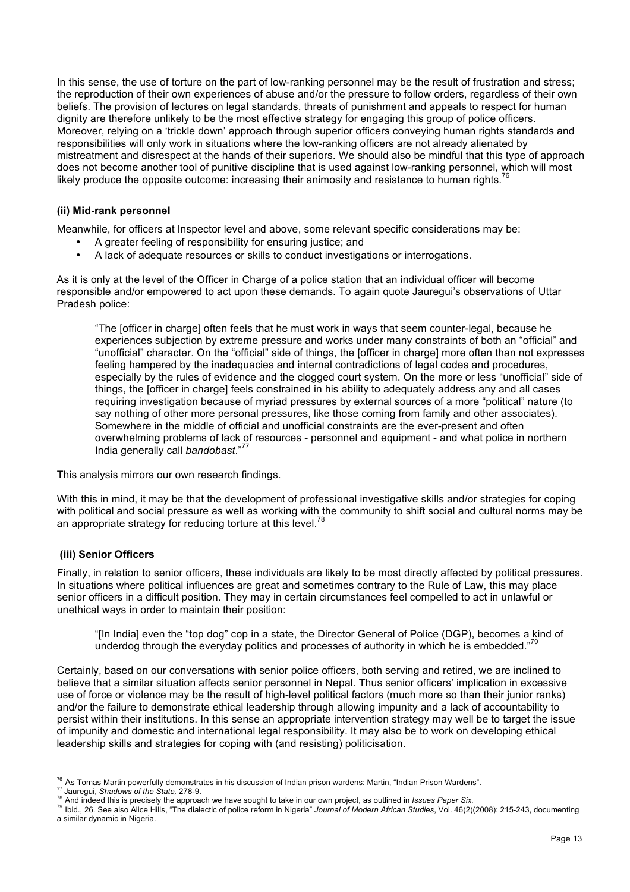In this sense, the use of torture on the part of low-ranking personnel may be the result of frustration and stress; the reproduction of their own experiences of abuse and/or the pressure to follow orders, regardless of their own beliefs. The provision of lectures on legal standards, threats of punishment and appeals to respect for human dignity are therefore unlikely to be the most effective strategy for engaging this group of police officers. Moreover, relying on a 'trickle down' approach through superior officers conveying human rights standards and responsibilities will only work in situations where the low-ranking officers are not already alienated by mistreatment and disrespect at the hands of their superiors. We should also be mindful that this type of approach does not become another tool of punitive discipline that is used against low-ranking personnel, which will most likely produce the opposite outcome: increasing their animosity and resistance to human rights.<sup>76</sup>

### **(ii) Mid-rank personnel**

Meanwhile, for officers at Inspector level and above, some relevant specific considerations may be:

- A greater feeling of responsibility for ensuring justice; and
- A lack of adequate resources or skills to conduct investigations or interrogations.

As it is only at the level of the Officer in Charge of a police station that an individual officer will become responsible and/or empowered to act upon these demands. To again quote Jauregui's observations of Uttar Pradesh police:

"The [officer in charge] often feels that he must work in ways that seem counter-legal, because he experiences subjection by extreme pressure and works under many constraints of both an "official" and "unofficial" character. On the "official" side of things, the [officer in charge] more often than not expresses feeling hampered by the inadequacies and internal contradictions of legal codes and procedures, especially by the rules of evidence and the clogged court system. On the more or less "unofficial" side of things, the [officer in charge] feels constrained in his ability to adequately address any and all cases requiring investigation because of myriad pressures by external sources of a more "political" nature (to say nothing of other more personal pressures, like those coming from family and other associates). Somewhere in the middle of official and unofficial constraints are the ever-present and often overwhelming problems of lack of resources - personnel and equipment - and what police in northern India generally call *bandobast*." 77

This analysis mirrors our own research findings.

With this in mind, it may be that the development of professional investigative skills and/or strategies for coping with political and social pressure as well as working with the community to shift social and cultural norms may be an appropriate strategy for reducing torture at this level.<sup>78</sup>

## **(iii) Senior Officers**

Finally, in relation to senior officers, these individuals are likely to be most directly affected by political pressures. In situations where political influences are great and sometimes contrary to the Rule of Law, this may place senior officers in a difficult position. They may in certain circumstances feel compelled to act in unlawful or unethical ways in order to maintain their position:

"[In India] even the "top dog" cop in a state, the Director General of Police (DGP), becomes a kind of underdog through the everyday politics and processes of authority in which he is embedded."<sup>79</sup>

Certainly, based on our conversations with senior police officers, both serving and retired, we are inclined to believe that a similar situation affects senior personnel in Nepal. Thus senior officers' implication in excessive use of force or violence may be the result of high-level political factors (much more so than their junior ranks) and/or the failure to demonstrate ethical leadership through allowing impunity and a lack of accountability to persist within their institutions. In this sense an appropriate intervention strategy may well be to target the issue of impunity and domestic and international legal responsibility. It may also be to work on developing ethical leadership skills and strategies for coping with (and resisting) politicisation.

<sup>&</sup>lt;sup>76</sup> As Tomas Martin powerfully demonstrates in his discussion of Indian prison wardens: Martin, "Indian Prison Wardens".<br><sup>77</sup> Jauregui, *Shadows of the State,* 278-9.<br><sup>78</sup> And indeed this is precisely the approach we hav a similar dynamic in Nigeria.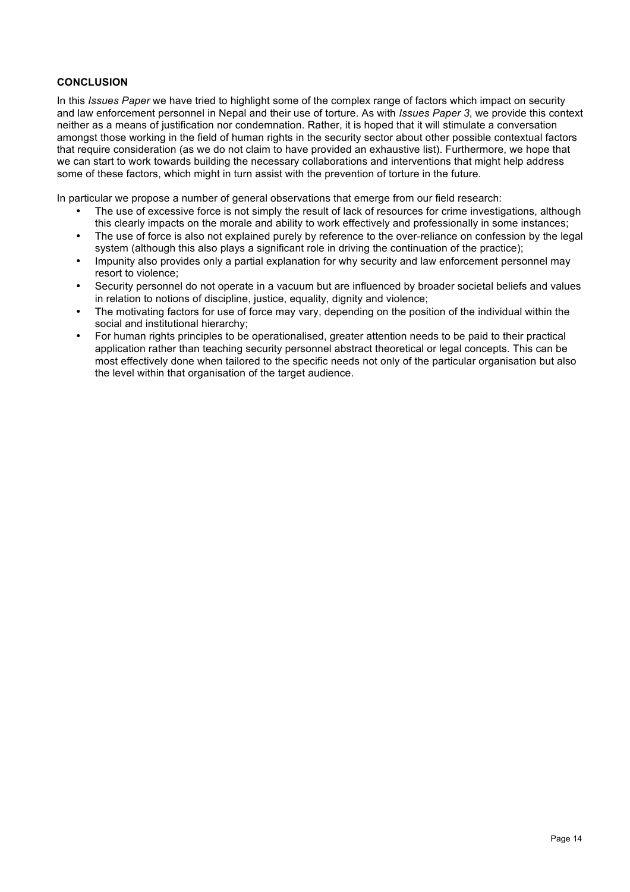## **CONCLUSION**

In this *Issues Paper* we have tried to highlight some of the complex range of factors which impact on security and law enforcement personnel in Nepal and their use of torture. As with *Issues Paper 3*, we provide this context neither as a means of justification nor condemnation. Rather, it is hoped that it will stimulate a conversation amongst those working in the field of human rights in the security sector about other possible contextual factors that require consideration (as we do not claim to have provided an exhaustive list). Furthermore, we hope that we can start to work towards building the necessary collaborations and interventions that might help address some of these factors, which might in turn assist with the prevention of torture in the future.

In particular we propose a number of general observations that emerge from our field research:

- The use of excessive force is not simply the result of lack of resources for crime investigations, although this clearly impacts on the morale and ability to work effectively and professionally in some instances;
- The use of force is also not explained purely by reference to the over-reliance on confession by the legal system (although this also plays a significant role in driving the continuation of the practice);
- Impunity also provides only a partial explanation for why security and law enforcement personnel may resort to violence;
- Security personnel do not operate in a vacuum but are influenced by broader societal beliefs and values in relation to notions of discipline, justice, equality, dignity and violence;
- The motivating factors for use of force may vary, depending on the position of the individual within the social and institutional hierarchy;
- For human rights principles to be operationalised, greater attention needs to be paid to their practical application rather than teaching security personnel abstract theoretical or legal concepts. This can be most effectively done when tailored to the specific needs not only of the particular organisation but also the level within that organisation of the target audience.